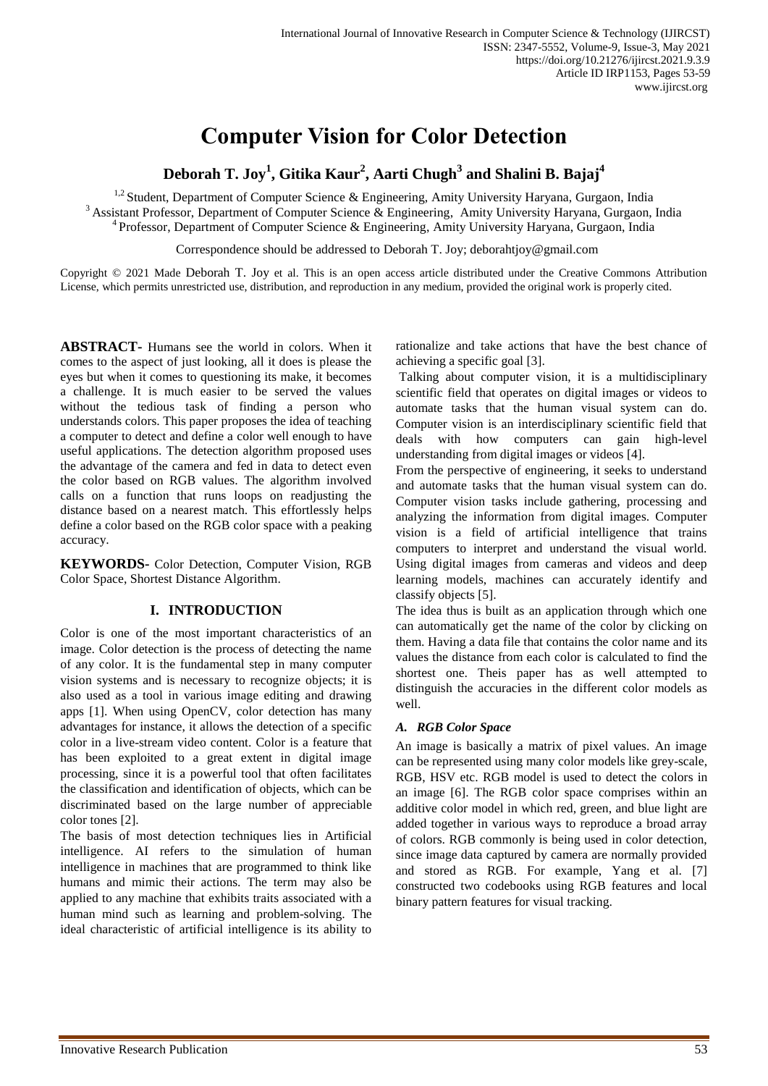# **Computer Vision for Color Detection**

**Deborah T. Joy<sup>1</sup> , Gitika Kaur<sup>2</sup> , Aarti Chugh<sup>3</sup> and Shalini B. Bajaj<sup>4</sup>**

<sup>1,2</sup> Student, Department of Computer Science & Engineering, Amity University Haryana, Gurgaon, India <sup>3</sup> Assistant Professor, Department of Computer Science & Engineering, Amity University Haryana, Gurgaon, India <sup>4</sup> Professor, Department of Computer Science & Engineering, Amity University Haryana, Gurgaon, India

Correspondence should be addressed to Deborah T. Joy; deborahtjoy@gmail.com

Copyright © 2021 Made Deborah T. Joy et al. This is an open access article distributed under the Creative Commons Attribution License, which permits unrestricted use, distribution, and reproduction in any medium, provided the original work is properly cited.

**ABSTRACT-** Humans see the world in colors. When it comes to the aspect of just looking, all it does is please the eyes but when it comes to questioning its make, it becomes a challenge. It is much easier to be served the values without the tedious task of finding a person who understands colors. This paper proposes the idea of teaching a computer to detect and define a color well enough to have useful applications. The detection algorithm proposed uses the advantage of the camera and fed in data to detect even the color based on RGB values. The algorithm involved calls on a function that runs loops on readjusting the distance based on a nearest match. This effortlessly helps define a color based on the RGB color space with a peaking accuracy.

**KEYWORDS-** Color Detection, Computer Vision, RGB Color Space, Shortest Distance Algorithm.

# **I. INTRODUCTION**

Color is one of the most important characteristics of an image. Color detection is the process of detecting the name of any color. It is the fundamental step in many computer vision systems and is necessary to recognize objects; it is also used as a tool in various image editing and drawing apps [1]. When using OpenCV, color detection has many advantages for instance, it allows the detection of a specific color in a live-stream video content. Color is a feature that has been exploited to a great extent in digital image processing, since it is a powerful tool that often facilitates the classification and identification of objects, which can be discriminated based on the large number of appreciable color tones [2].

The basis of most detection techniques lies in Artificial intelligence. AI refers to the simulation of human intelligence in machines that are programmed to think like humans and mimic their actions. The term may also be applied to any machine that exhibits traits associated with a human mind such as learning and problem-solving. The ideal characteristic of artificial intelligence is its ability to

rationalize and take actions that have the best chance of achieving a specific goal [3].

Talking about computer vision, it is a multidisciplinary scientific field that operates on digital images or videos to automate tasks that the human visual system can do. Computer vision is an interdisciplinary scientific field that deals with how computers can gain high-level understanding from digital images or videos [4].

From the perspective of engineering, it seeks to understand and automate tasks that the human visual system can do. Computer vision tasks include gathering, processing and analyzing the information from digital images. Computer vision is a field of artificial intelligence that trains computers to interpret and understand the visual world. Using digital images from cameras and videos and deep learning models, machines can accurately identify and classify objects [5].

The idea thus is built as an application through which one can automatically get the name of the color by clicking on them. Having a data file that contains the color name and its values the distance from each color is calculated to find the shortest one. Theis paper has as well attempted to distinguish the accuracies in the different color models as well.

# *A. RGB Color Space*

An image is basically a matrix of pixel values. An image can be represented using many color models like grey-scale, RGB, HSV etc. RGB model is used to detect the colors in an image [6]. The RGB color space comprises within an additive color model in which red, green, and blue light are added together in various ways to reproduce a broad array of colors. RGB commonly is being used in color detection, since image data captured by camera are normally provided and stored as RGB. For example, Yang et al. [7] constructed two codebooks using RGB features and local binary pattern features for visual tracking.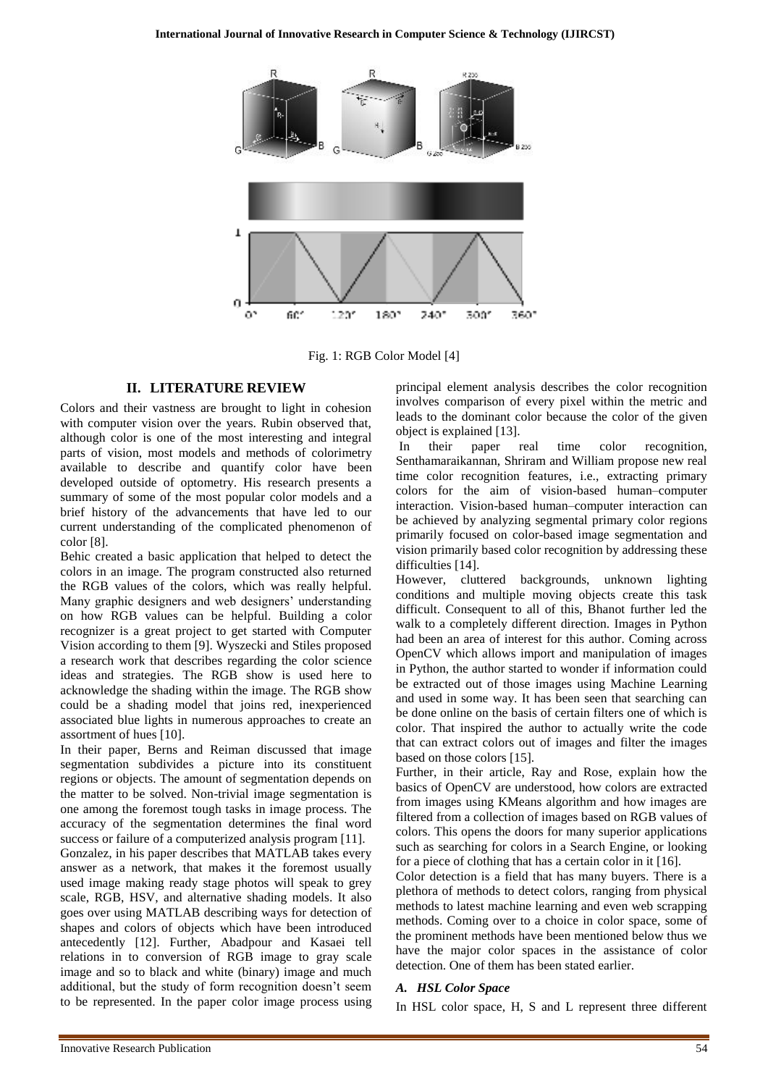

Fig. 1: RGB Color Model [4]

#### **II. LITERATURE REVIEW**

Colors and their vastness are brought to light in cohesion with computer vision over the years. Rubin observed that, although color is one of the most interesting and integral parts of vision, most models and methods of colorimetry available to describe and quantify color have been developed outside of optometry. His research presents a summary of some of the most popular color models and a brief history of the advancements that have led to our current understanding of the complicated phenomenon of color [8].

Behic created a basic application that helped to detect the colors in an image. The program constructed also returned the RGB values of the colors, which was really helpful. Many graphic designers and web designers' understanding on how RGB values can be helpful. Building a color recognizer is a great project to get started with Computer Vision according to them [9]. Wyszecki and Stiles proposed a research work that describes regarding the color science ideas and strategies. The RGB show is used here to acknowledge the shading within the image. The RGB show could be a shading model that joins red, inexperienced associated blue lights in numerous approaches to create an assortment of hues [10].

In their paper, Berns and Reiman discussed that image segmentation subdivides a picture into its constituent regions or objects. The amount of segmentation depends on the matter to be solved. Non-trivial image segmentation is one among the foremost tough tasks in image process. The accuracy of the segmentation determines the final word success or failure of a computerized analysis program [11]. Gonzalez, in his paper describes that MATLAB takes every answer as a network, that makes it the foremost usually used image making ready stage photos will speak to grey scale, RGB, HSV, and alternative shading models. It also goes over using MATLAB describing ways for detection of shapes and colors of objects which have been introduced antecedently [12]. Further, Abadpour and Kasaei tell relations in to conversion of RGB image to gray scale image and so to black and white (binary) image and much additional, but the study of form recognition doesn't seem to be represented. In the paper color image process using

principal element analysis describes the color recognition involves comparison of every pixel within the metric and leads to the dominant color because the color of the given object is explained [13].

In their paper real time color recognition, Senthamaraikannan, Shriram and William propose new real time color recognition features, i.e., extracting primary colors for the aim of vision-based human–computer interaction. Vision-based human–computer interaction can be achieved by analyzing segmental primary color regions primarily focused on color-based image segmentation and vision primarily based color recognition by addressing these difficulties [14].

However, cluttered backgrounds, unknown lighting conditions and multiple moving objects create this task difficult. Consequent to all of this, Bhanot further led the walk to a completely different direction. Images in Python had been an area of interest for this author. Coming across OpenCV which allows import and manipulation of images in Python, the author started to wonder if information could be extracted out of those images using Machine Learning and used in some way. It has been seen that searching can be done online on the basis of certain filters one of which is color. That inspired the author to actually write the code that can extract colors out of images and filter the images based on those colors [15].

Further, in their article, Ray and Rose, explain how the basics of OpenCV are understood, how colors are extracted from images using KMeans algorithm and how images are filtered from a collection of images based on RGB values of colors. This opens the doors for many superior applications such as searching for colors in a Search Engine, or looking for a piece of clothing that has a certain color in it [16].

Color detection is a field that has many buyers. There is a plethora of methods to detect colors, ranging from physical methods to latest machine learning and even web scrapping methods. Coming over to a choice in color space, some of the prominent methods have been mentioned below thus we have the major color spaces in the assistance of color detection. One of them has been stated earlier.

#### *A. HSL Color Space*

In HSL color space, H, S and L represent three different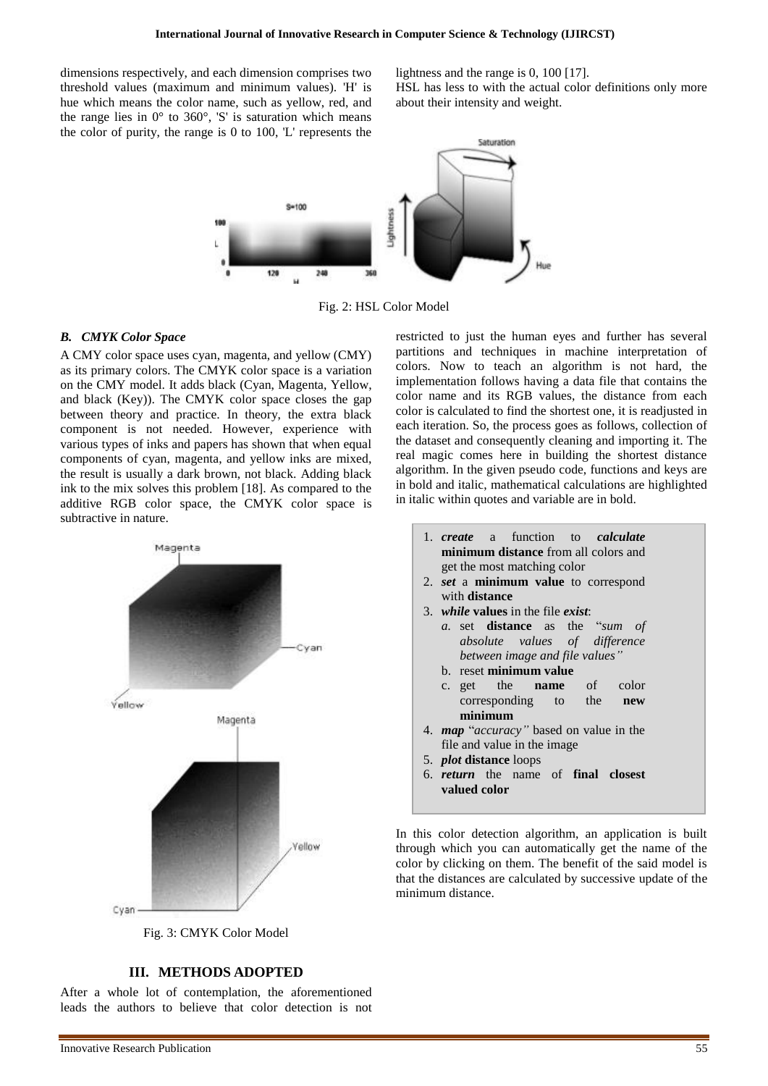dimensions respectively, and each dimension comprises two threshold values (maximum and minimum values). 'H' is hue which means the color name, such as yellow, red, and the range lies in  $0^{\circ}$  to 360°, 'S' is saturation which means the color of purity, the range is 0 to 100, 'L' represents the

lightness and the range is 0, 100 [17].

HSL has less to with the actual color definitions only more about their intensity and weight.



Fig. 2: HSL Color Model

## *B. CMYK Color Space*

A CMY color space uses cyan, magenta, and yellow (CMY) as its primary colors. The CMYK color space is a variation on the CMY model. It adds black (Cyan, Magenta, Yellow, and black (Key)). The CMYK color space closes the gap between theory and practice. In theory, the extra black component is not needed. However, experience with various types of inks and papers has shown that when equal components of cyan, magenta, and yellow inks are mixed, the result is usually a dark brown, not black. Adding black ink to the mix solves this problem [18]. As compared to the additive RGB color space, the CMYK color space is subtractive in nature.



Fig. 3: CMYK Color Model

# **III. METHODS ADOPTED**

After a whole lot of contemplation, the aforementioned leads the authors to believe that color detection is not

restricted to just the human eyes and further has several partitions and techniques in machine interpretation of colors. Now to teach an algorithm is not hard, the implementation follows having a data file that contains the color name and its RGB values, the distance from each color is calculated to find the shortest one, it is readjusted in each iteration. So, the process goes as follows, collection of the dataset and consequently cleaning and importing it. The real magic comes here in building the shortest distance algorithm. In the given pseudo code, functions and keys are in bold and italic, mathematical calculations are highlighted in italic within quotes and variable are in bold.

- 1. *create* a function to *calculate* **minimum distance** from all colors and get the most matching color
- 2. *set* a **minimum value** to correspond with **distance**
- 3. *while* **values** in the file *exist*:
	- *a.* set **distance** as the "*sum of absolute values of difference between image and file values"*
	- b. reset **minimum value**
	- c. get the **name** of color corresponding to the **new minimum**
- 4. *map* "*accuracy"* based on value in the file and value in the image
- 5. *plot* **distance** loops
- 6. *return* the name of **final closest valued color**

In this color detection algorithm, an application is built through which you can automatically get the name of the color by clicking on them. The benefit of the said model is that the distances are calculated by successive update of the minimum distance.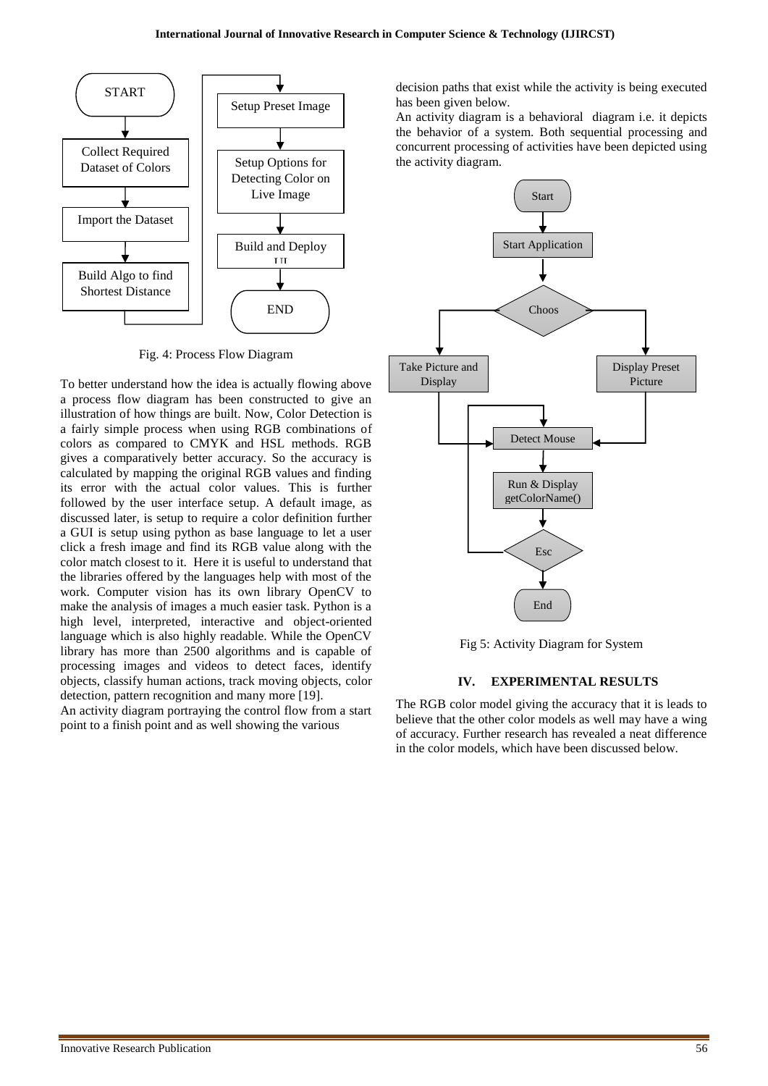

Fig. 4: Process Flow Diagram

To better understand how the idea is actually flowing above a process flow diagram has been constructed to give an illustration of how things are built. Now, Color Detection is a fairly simple process when using RGB combinations of colors as compared to CMYK and HSL methods. RGB gives a comparatively better accuracy. So the accuracy is calculated by mapping the original RGB values and finding its error with the actual color values. This is further followed by the user interface setup. A default image, as discussed later, is setup to require a color definition further a GUI is setup using python as base language to let a user click a fresh image and find its RGB value along with the color match closest to it. Here it is useful to understand that the libraries offered by the languages help with most of the work. Computer vision has its own library OpenCV to make the analysis of images a much easier task. Python is a high level, interpreted, interactive and object-oriented language which is also highly readable. While the OpenCV library has more than 2500 algorithms and is capable of processing images and videos to detect faces, identify objects, classify human actions, track moving objects, color detection, pattern recognition and many more [19].

An activity diagram portraying the control flow from a start point to a finish point and as well showing the various

decision paths that exist while the activity is being executed has been given below.

An activity diagram is a behavioral diagram i.e. it depicts the behavior of a system. Both sequential processing and concurrent processing of activities have been depicted using the activity diagram.



Fig 5: Activity Diagram for System

## **IV. EXPERIMENTAL RESULTS**

The RGB color model giving the accuracy that it is leads to believe that the other color models as well may have a wing of accuracy. Further research has revealed a neat difference in the color models, which have been discussed below.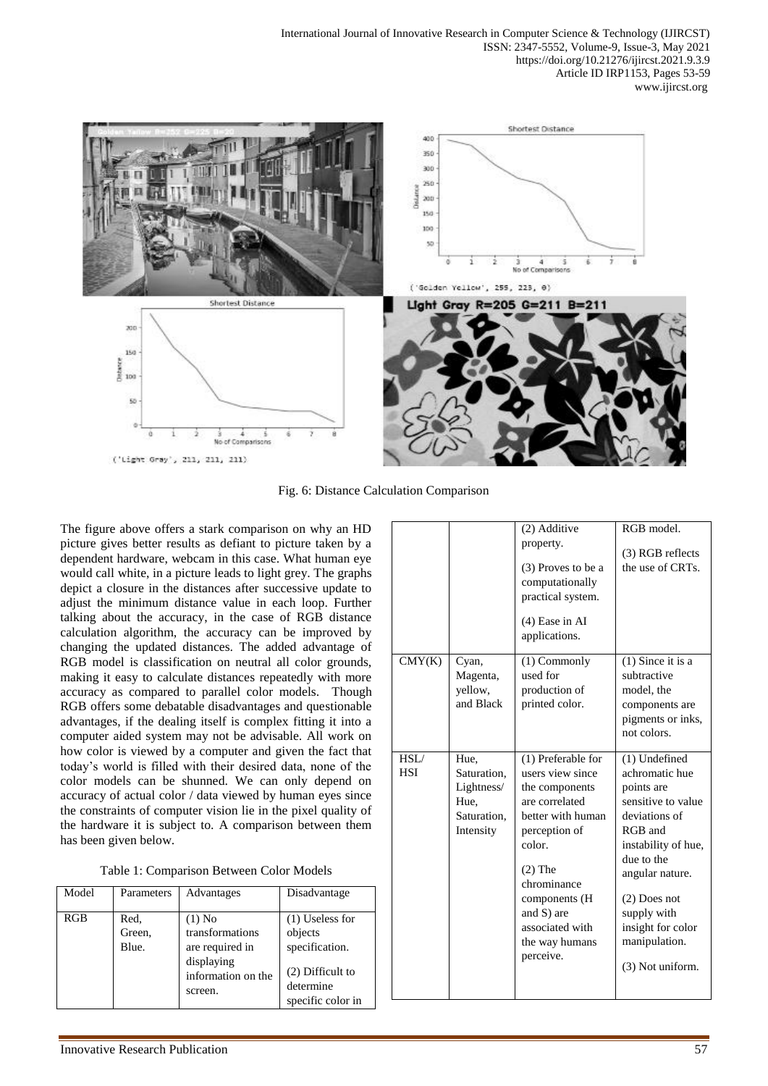

Fig. 6: Distance Calculation Comparison

The figure above offers a stark comparison on why an HD picture gives better results as defiant to picture taken by a dependent hardware, webcam in this case. What human eye would call white, in a picture leads to light grey. The graphs depict a closure in the distances after successive update to adjust the minimum distance value in each loop. Further talking about the accuracy, in the case of RGB distance calculation algorithm, the accuracy can be improved by changing the updated distances. The added advantage of RGB model is classification on neutral all color grounds, making it easy to calculate distances repeatedly with more accuracy as compared to parallel color models. Though RGB offers some debatable disadvantages and questionable advantages, if the dealing itself is complex fitting it into a computer aided system may not be advisable. All work on how color is viewed by a computer and given the fact that today's world is filled with their desired data, none of the color models can be shunned. We can only depend on accuracy of actual color / data viewed by human eyes since the constraints of computer vision lie in the pixel quality of the hardware it is subject to. A comparison between them has been given below.

| Table 1: Comparison Between Color Models |  |  |  |
|------------------------------------------|--|--|--|
|------------------------------------------|--|--|--|

| Model | Parameters              | Advantages                                                                                    | Disadvantage                                                                                           |
|-------|-------------------------|-----------------------------------------------------------------------------------------------|--------------------------------------------------------------------------------------------------------|
| RGB   | Red,<br>Green,<br>Blue. | $(1)$ No<br>transformations<br>are required in<br>displaying<br>information on the<br>screen. | $(1)$ Useless for<br>objects<br>specification.<br>$(2)$ Difficult to<br>determine<br>specific color in |

|                    |                                                                       | (2) Additive<br>property.<br>(3) Proves to be a<br>computationally<br>practical system.<br>$(4)$ Ease in AI<br>applications.                                                                                                            | RGB model.<br>(3) RGB reflects<br>the use of CRTs.                                                                                                                                                                                                 |
|--------------------|-----------------------------------------------------------------------|-----------------------------------------------------------------------------------------------------------------------------------------------------------------------------------------------------------------------------------------|----------------------------------------------------------------------------------------------------------------------------------------------------------------------------------------------------------------------------------------------------|
| CMY(K)             | Cyan,<br>Magenta,<br>vellow,<br>and Black                             | (1) Commonly<br>used for<br>production of<br>printed color.                                                                                                                                                                             | $(1)$ Since it is a<br>subtractive<br>model, the<br>components are<br>pigments or inks,<br>not colors.                                                                                                                                             |
| HSL/<br><b>HSI</b> | Hue,<br>Saturation,<br>Lightness/<br>Hue,<br>Saturation.<br>Intensity | (1) Preferable for<br>users view since<br>the components<br>are correlated<br>better with human<br>perception of<br>color.<br>$(2)$ The<br>chrominance<br>components (H<br>and S) are<br>associated with<br>the way humans<br>perceive. | (1) Undefined<br>achromatic hue<br>points are<br>sensitive to value<br>deviations of<br>RGB and<br>instability of hue,<br>due to the<br>angular nature.<br>$(2)$ Does not<br>supply with<br>insight for color<br>manipulation.<br>(3) Not uniform. |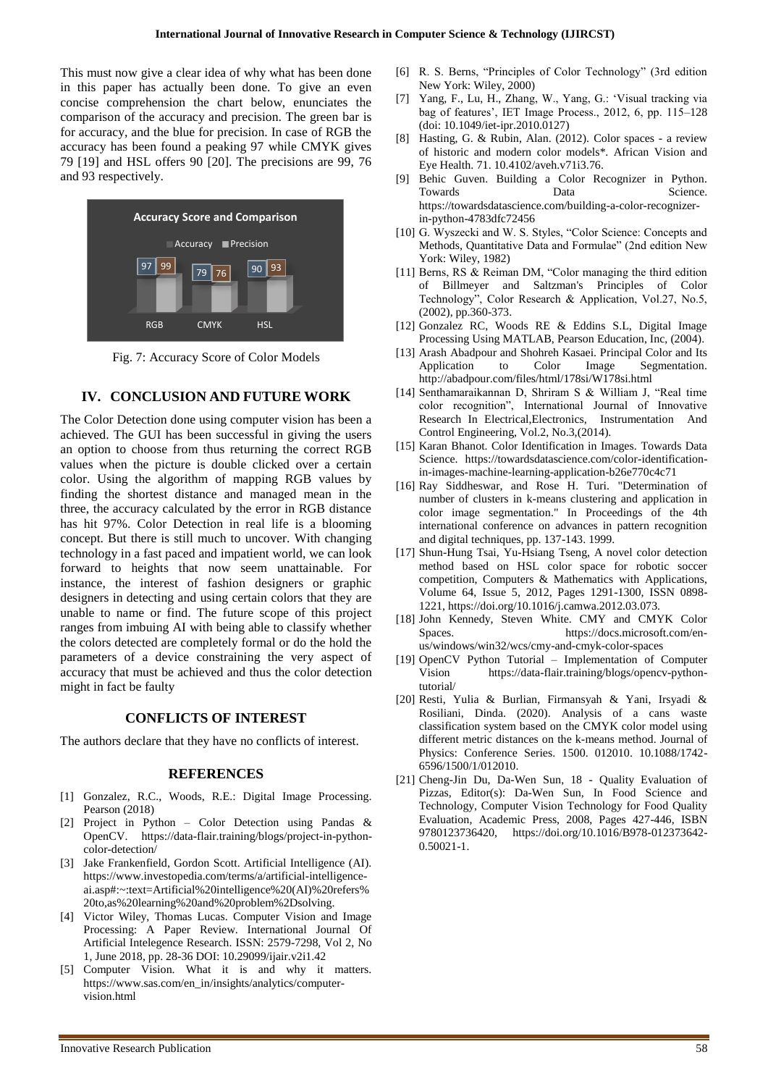This must now give a clear idea of why what has been done in this paper has actually been done. To give an even concise comprehension the chart below, enunciates the comparison of the accuracy and precision. The green bar is for accuracy, and the blue for precision. In case of RGB the accuracy has been found a peaking 97 while CMYK gives 79 [19] and HSL offers 90 [20]. The precisions are 99, 76 and 93 respectively.



Fig. 7: Accuracy Score of Color Models

## **IV. CONCLUSION AND FUTURE WORK**

The Color Detection done using computer vision has been a achieved. The GUI has been successful in giving the users an option to choose from thus returning the correct RGB values when the picture is double clicked over a certain color. Using the algorithm of mapping RGB values by finding the shortest distance and managed mean in the three, the accuracy calculated by the error in RGB distance has hit 97%. Color Detection in real life is a blooming concept. But there is still much to uncover. With changing technology in a fast paced and impatient world, we can look forward to heights that now seem unattainable. For instance, the interest of fashion designers or graphic designers in detecting and using certain colors that they are unable to name or find. The future scope of this project ranges from imbuing AI with being able to classify whether the colors detected are completely formal or do the hold the parameters of a device constraining the very aspect of accuracy that must be achieved and thus the color detection might in fact be faulty

## **CONFLICTS OF INTEREST**

The authors declare that they have no conflicts of interest.

#### **REFERENCES**

- [1] Gonzalez, R.C., Woods, R.E.: Digital Image Processing. Pearson (2018)
- [2] Project in Python Color Detection using Pandas & OpenCV. https://data-flair.training/blogs/project-in-pythoncolor-detection/
- [3] Jake Frankenfield, Gordon Scott. Artificial Intelligence (AI). https://www.investopedia.com/terms/a/artificial-intelligenceai.asp#:~:text=Artificial%20intelligence%20(AI)%20refers% 20to,as%20learning%20and%20problem%2Dsolving.
- [4] Victor Wiley, Thomas Lucas. Computer Vision and Image Processing: A Paper Review. International Journal Of Artificial Intelegence Research. ISSN: 2579-7298, Vol 2, No 1, June 2018, pp. 28-36 DOI: 10.29099/ijair.v2i1.42
- [5] Computer Vision. What it is and why it matters. https://www.sas.com/en\_in/insights/analytics/computervision.html
- [6] R. S. Berns, "Principles of Color Technology" (3rd edition New York: Wiley, 2000)
- [7] Yang, F., Lu, H., Zhang, W., Yang, G.: 'Visual tracking via bag of features', IET Image Process., 2012, 6, pp. 115–128 (doi: 10.1049/iet-ipr.2010.0127)
- [8] Hasting, G. & Rubin, Alan. (2012). Color spaces a review of historic and modern color models\*. African Vision and Eye Health. 71. 10.4102/aveh.v71i3.76.
- [9] Behic Guven. Building a Color Recognizer in Python. Towards Data Data Science. https://towardsdatascience.com/building-a-color-recognizerin-python-4783dfc72456
- [10] G. Wyszecki and W. S. Styles, "Color Science: Concepts and Methods, Quantitative Data and Formulae" (2nd edition New York: Wiley, 1982)
- [11] Berns, RS & Reiman DM, "Color managing the third edition of Billmeyer and Saltzman's Principles of Color Technology", Color Research & Application, Vol.27, No.5, (2002), pp.360-373.
- [12] Gonzalez RC, Woods RE & Eddins S.L, Digital Image Processing Using MATLAB, Pearson Education, Inc, (2004).
- [13] Arash Abadpour and Shohreh Kasaei. Principal Color and Its Application to Color Image Segmentation. http://abadpour.com/files/html/178si/W178si.html
- [14] Senthamaraikannan D, Shriram S & William J, "Real time color recognition", International Journal of Innovative Research In Electrical,Electronics, Instrumentation And Control Engineering, Vol.2, No.3,(2014).
- [15] Karan Bhanot. Color Identification in Images. Towards Data Science. https://towardsdatascience.com/color-identificationin-images-machine-learning-application-b26e770c4c71
- [16] Ray Siddheswar, and Rose H. Turi. "Determination of number of clusters in k-means clustering and application in color image segmentation." In Proceedings of the 4th international conference on advances in pattern recognition and digital techniques, pp. 137-143. 1999.
- [17] Shun-Hung Tsai, Yu-Hsiang Tseng, A novel color detection method based on HSL color space for robotic soccer competition, Computers & Mathematics with Applications, Volume 64, Issue 5, 2012, Pages 1291-1300, ISSN 0898- 1221, https://doi.org/10.1016/j.camwa.2012.03.073.
- [18] John Kennedy, Steven White. CMY and CMYK Color Spaces. https://docs.microsoft.com/enus/windows/win32/wcs/cmy-and-cmyk-color-spaces
- [19] OpenCV Python Tutorial Implementation of Computer Vision https://data-flair.training/blogs/opencv-pythontutorial/
- [20] Resti, Yulia & Burlian, Firmansyah & Yani, Irsyadi & Rosiliani, Dinda. (2020). Analysis of a cans waste classification system based on the CMYK color model using different metric distances on the k-means method. Journal of Physics: Conference Series. 1500. 012010. 10.1088/1742- 6596/1500/1/012010.
- [21] Cheng-Jin Du, Da-Wen Sun, 18 Quality Evaluation of Pizzas, Editor(s): Da-Wen Sun, In Food Science and Technology, Computer Vision Technology for Food Quality Evaluation, Academic Press, 2008, Pages 427-446, ISBN 9780123736420, https://doi.org/10.1016/B978-012373642- 0.50021-1.